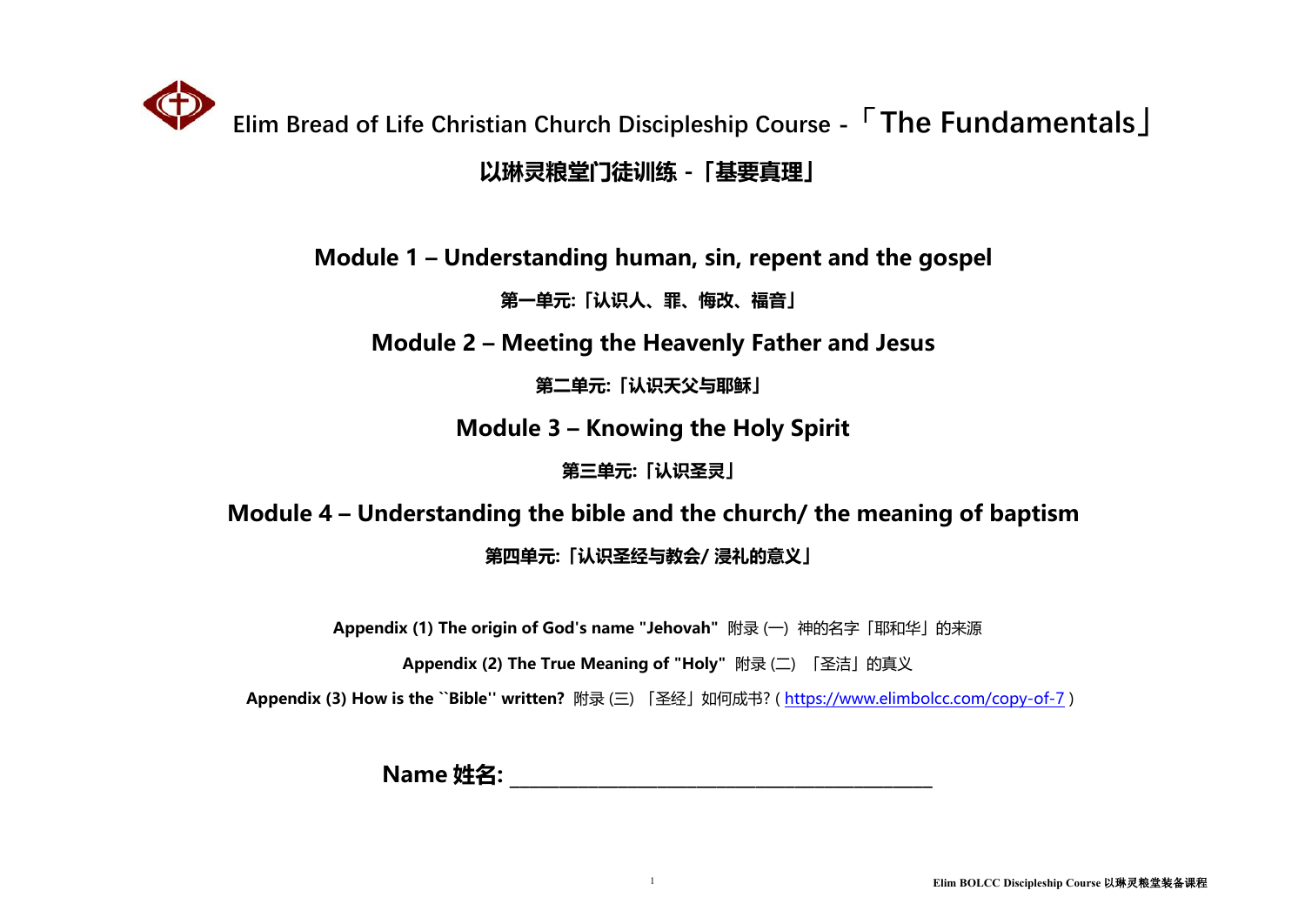

# **以琳灵粮堂门徒训练 -「基要真理」**

**Module 1 – Understanding human, sin, repent and the gospel**

**第一单元:「认识人、罪、悔改、福音」**

**Module 2 – Meeting the Heavenly Father and Jesus**

**第二单元:「认识天父与耶稣」**

**Module 3 – Knowing the Holy Spirit**

**第三单元:「认识圣灵」**

# **Module 4 – Understanding the bible and the church/ the meaning of baptism**

**第四单元:「认识圣经与教会/ 浸礼的意义」**

**Appendix (1) The origin of God's name "Jehovah"** 附录 (一) 神的名字「耶和华」的来源

**Appendix (2) The True Meaning of "Holy"** 附录 (二) 「圣洁」的真义

**Appendix (3) How is the ``Bible'' written?** 附录 (三) 「圣经」如何成书? ( <https://www.elimbolcc.com/copy-of-7> )

**Name 姓名: \_\_\_\_\_\_\_\_\_\_\_\_\_\_\_\_\_\_\_\_\_\_\_\_\_\_\_\_\_\_\_\_\_\_\_\_\_\_\_\_\_\_\_**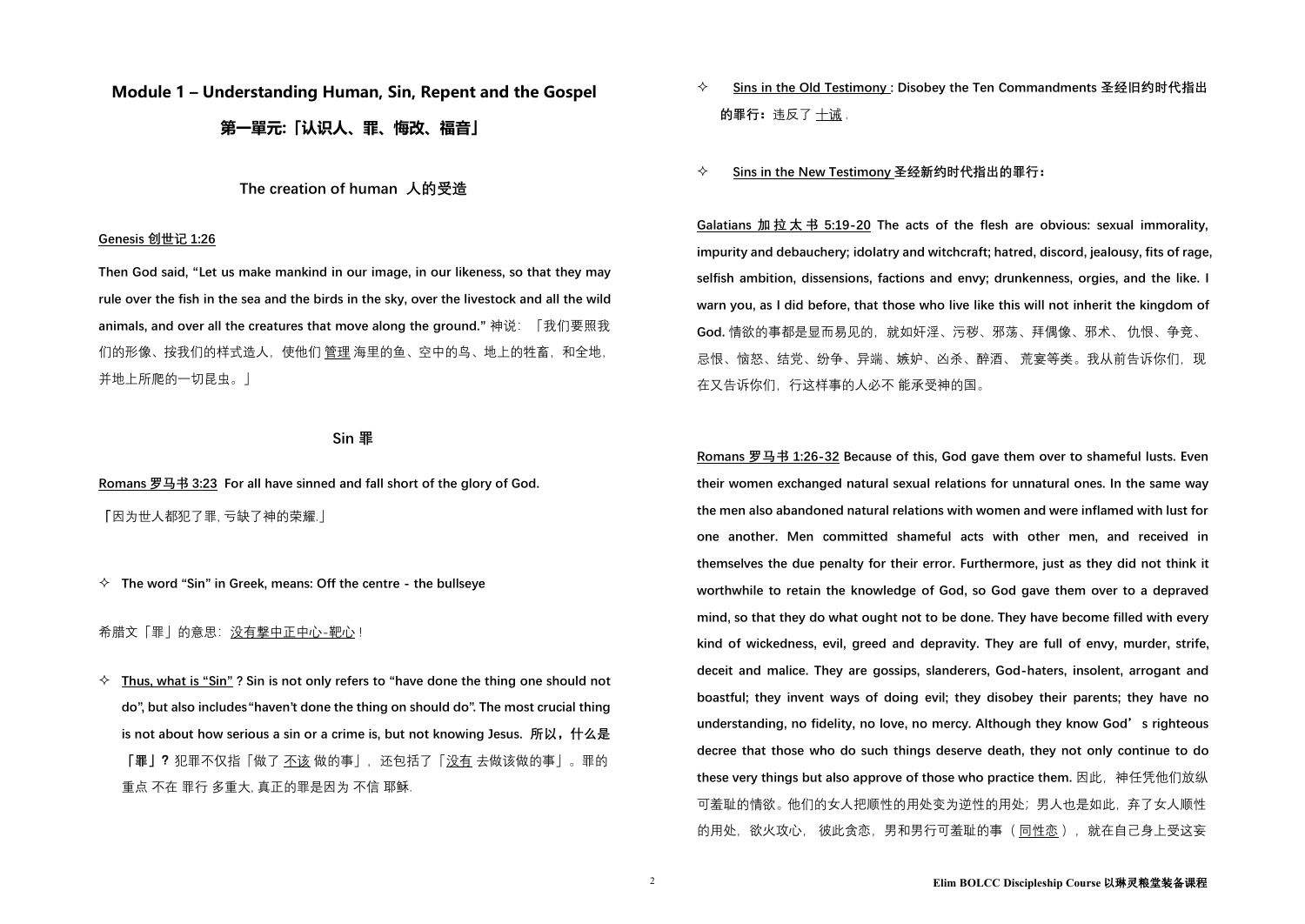# **Module 1 – Understanding Human, Sin, Repent and the Gospel 第一單元:「认识人、罪、悔改、福音」**

**The creation of human 人的受造**

### **Genesis 创世记 1:26**

**Then God said, "Let us make mankind in our image, in our likeness, so that they may** rule over the fish in the sea and the birds in the sky, over the livestock and all the wild **animals, and over all the creatures that move along the ground."** 神说:「我们要照我 们的形像、按我们的样式造人,使他们 管理 海里的鱼、空中的鸟、地上的牲畜,和全地, 并地上所爬的一切昆虫。」

## **Sin 罪**

**Romans 罗马书 3:23 For all have sinned and fall short of the glory of God. 「**因为世人都犯了罪, 亏缺了神的荣耀.」

**Galatians 加 拉 太 书 5:19-20 The actsof the flesh are obvious: sexual immorality, impurity and debauchery; idolatry and witchcraft; hatred, discord, jealousy, fits of rage, selfish ambition, dissensions, factions and envy; drunkenness, orgies, and the like. I warn you, as I did before, that those who live like this will not inherit the kingdom of God.** 情欲的事都是显而易见的,就如奸淫、污秽、邪荡、拜偶像、邪术、 仇恨、争竞、 忌恨、恼怒、结党、纷争、异端、嫉妒、凶杀、醉酒、 荒宴等类。我从前告诉你们,现 在又告诉你们,行这样事的人必不 能承受神的国。

**The word "Sin" in Greek, means: Off the centre - the bullseye**

希腊文「罪」的意思:没有撃中正中心-靶心 !

**Romans 罗马书 1:26-32 Because of this, God gave them over to shameful lusts. Even their women exchanged natural sexual relations for unnatural ones. In the same way the men also abandoned natural relations with women and were inflamed with lust for one another. Men committed shameful acts with other men, and received in themselves the due penalty for their error. Furthermore, just as they did not think it worthwhile to retain the knowledge of God, so God gave them over to a depraved mind, so that they do what ought not to be done. They have become filled with every kind of wickedness, evil, greed and depravity. They are full of envy, murder, strife, deceit and malice. They are gossips, slanderers, God-haters, insolent, arrogant and boastful; they invent ways of doing evil; they disobey their parents; they have no understanding, no fidelity, no love, no mercy. Although they know God**'**s righteous decree that those who do such things deserve death, they not only continue to do these very things but also approve of those who practice them.**因此,神任凭他们放纵 可羞耻的情欲。他们的女人把顺性的用处变为逆性的用处;男人也是如此,弃了女人顺性 的用处,欲火攻心, 彼此贪恋,男和男行可羞耻的事 (<u>同性恋</u> ),就在自己身上受这妄

 **Thus, what is "Sin" ? Sin is not only refers to "have done the thing one should not do", but also includes"haven't done the thing on should do". The most crucial thing is not about how serious a sin or a crime is, but not knowing Jesus. 所以,什么是 「罪」?**犯罪不仅指「做了 不该 做的事」,还包括了「没有 去做该做的事」。罪的 重点 不在 罪行 多重大, 真正的罪是因为 不信 耶稣.

- **Sins in the Old Testimony : Disobey the Ten Commandments 圣经旧约时代指出 的罪行:**违反了 十诫 .
- **Sins in the New Testimony 圣经新约时代指出的罪行:**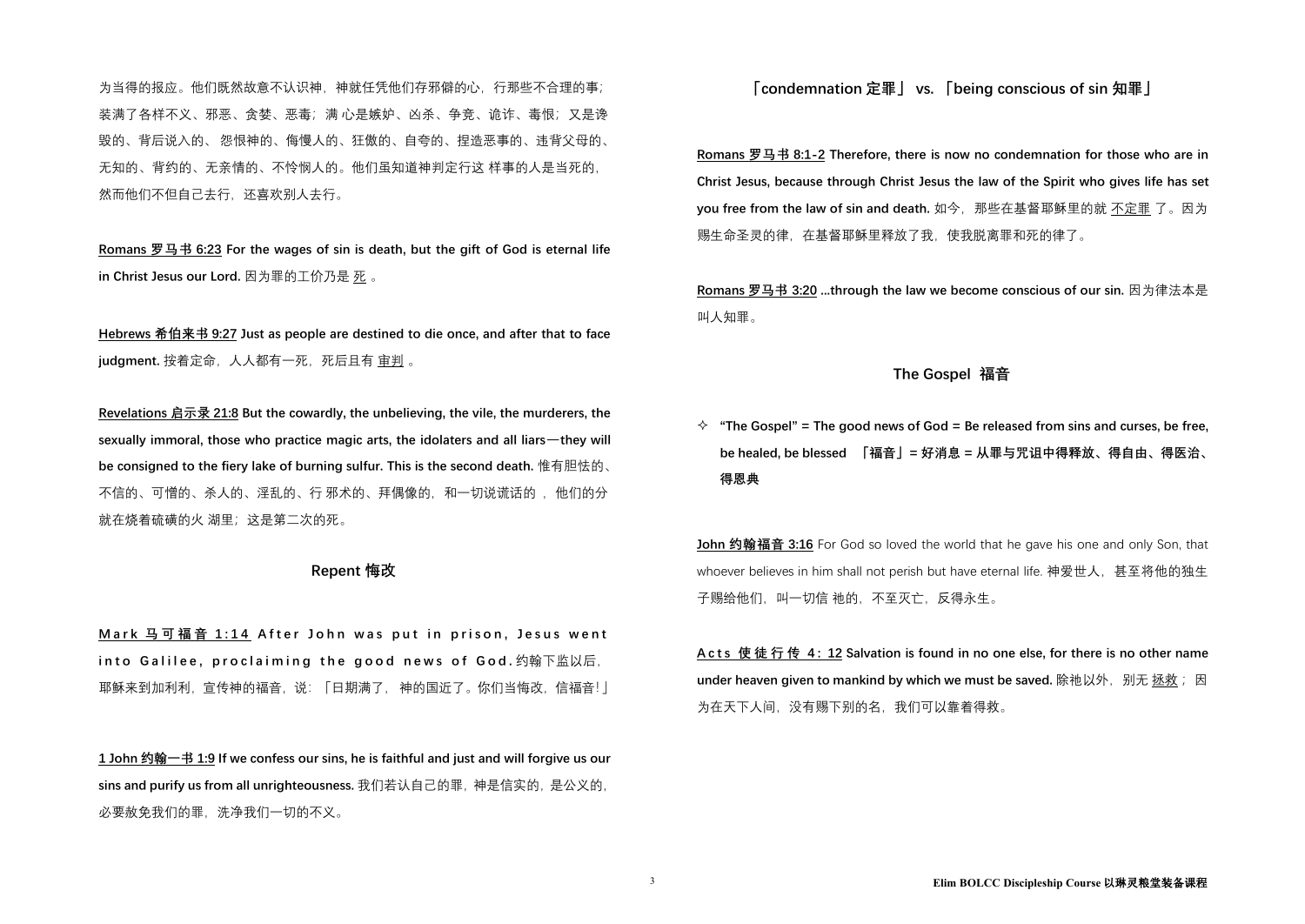为当得的报应。他们既然故意不认识神,神就任凭他们存邪僻的心,行那些不合理的事; 装满了各样不义、邪恶、贪婪、恶毒;满 心是嫉妒、凶杀、争竞、诡诈、毒恨;又是谗 毁的、背后说入的、 怨恨神的、侮慢人的、狂傲的、自夸的、捏造恶事的、违背父母的、 无知的、背约的、无亲情的、不怜悯人的。他们虽知道神判定行这 样事的人是当死的, 然而他们不但自己去行,还喜欢别人去行。

**Hebrews 希伯来书 9:27 Just as peopleare destined to die once, and after thatto face judgment.** 按着定命, 人人都有一死, 死后且有 审判 。

**Romans 罗马书 6:23 For the wages of sin is death, but the gift of God is eternal life in Christ Jesus our Lord.** 因为罪的工价乃是 死 。

**Revelations 启示录 21:8 But the cowardly, the unbelieving, the vile, the murderers, the sexually immoral, those who practice magic arts, the idolaters and all liars**—**they will be consigned to the fiery lake of burning sulfur. This is the second death.** 惟有胆怯的、 不信的、可憎的、杀人的、淫乱的、行 邪术的、拜偶像的,和一切说谎话的 , 他们的分 就在烧着硫磺的火 湖里;这是第二次的死。

## **Repent 悔改**

Mark 马可福音 1:14 After John was put in prison, Jesus went into Galilee, proclaiming the good news of God.约翰下监以后, 耶稣来到加利利, 宣传神的福音, 说: 「日期满了, 神的国近了。你们当悔改, 信福音!」 **John 约翰福音 3:16** For God so loved the world that he gave his one and only Son, that whoever believes in him shall not perish but have eternal life. 神爱世人, 甚至将他的独生 子赐给他们,叫一切信 祂的,不至灭亡,反得永生。

Acts 使徒行传 4: 12 Salvation is found in no one else, for there is no other name **under heaven given to mankind by which we must be saved. 除祂以外, 别无 拯救; 因** 为在天下人间,没有赐下别的名,我们可以靠着得救。

**1 John 约翰一书 1:9 If we confess our sins, he is faithful and just and will forgive us our sins and purify us from all unrighteousness.** 我们若认自己的罪,神是信实的,是公义的, 必要赦免我们的罪,洗净我们一切的不义。

**「condemnation 定罪」 vs. 「being conscious of sin 知罪」**

**Romans 罗马书 8:1-2 Therefore, there is now no condemnation for those who are in Christ Jesus, because through Christ Jesus the law of the Spirit who gives life hasset you free from the law of sin and death.** 如今,那些在基督耶稣里的就 不定罪 了。因为 赐生命圣灵的律,在基督耶稣里释放了我,使我脱离罪和死的律了。

**Romans 罗马书 3:20 ...through the law we become conscious of our sin.** 因为律法本是 叫人知罪。

**The Gospel 福音**

 **"The Gospel" = The good news of God = Be released from sins and curses, be free, be healed, be blessed 「福音」= 好消息 = 从罪与咒诅中得释放、得自由、得医治、 得恩典**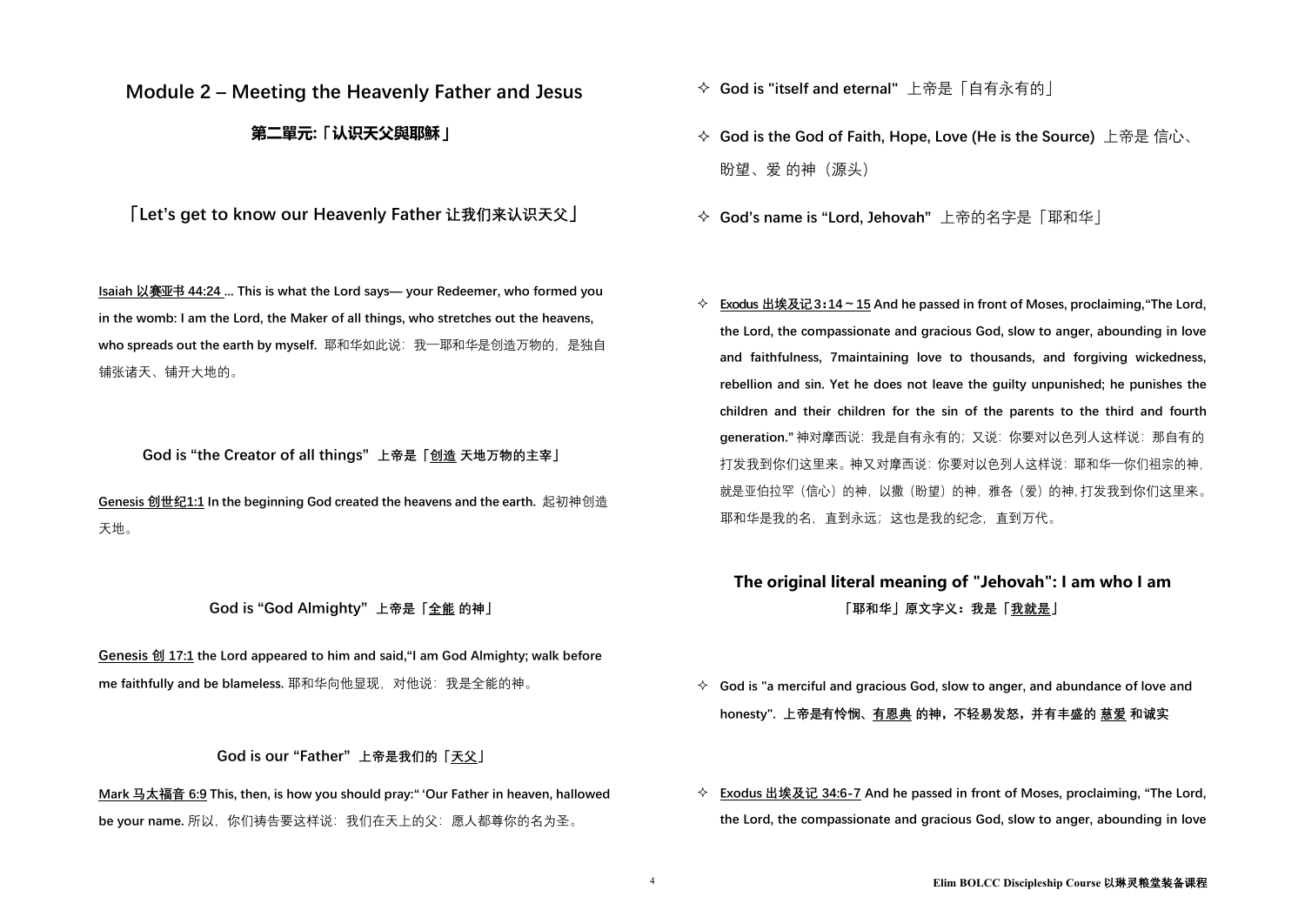## **Module 2 – Meeting the Heavenly Father and Jesus**

## **第二單元:**「**认识天父與耶穌**」

**「Let's get to know our Heavenly Father 让我们来认识天父」**

**Isaiah [以赛亚书](http://springbible.fhl.net/Bible2/cgic201/read201.cgi?ver=big5&na=0&chap=723&ft=0&temp=5) 44:24 ... This is what the Lord says— your Redeemer, who formed you in the womb: I am the Lord, the Maker of all things, who stretches out the heavens, who** spreads out the earth by myself. 耶和华如此说:我─耶和华是创造万物的, 是独自 铺张诸天、铺开大地的。

**God is "the Creator of all things" 上帝是「创造 天地万物的主宰」**

**Genesis 创世纪1:1 In the beginning God created the heavens and the earth.** 起初神创造 天地。

**God is "God Almighty" 上帝是「全能 的神」**

**Genesis 创 [17:1](http://springbible.fhl.net/Bible2/cgic201/read201.cgi?ver=big5&na=0&chap=17&ft=0&temp=75) the Lord appeared to him and said,"I am God Almighty; walk before me faithfully and beblameless.** 耶和华向他显现,对他说:我是全能的神。

**God is our "Father" 上帝是我们的「天父」**

**Mark 马太福音 6:9 This, then, is how you should pray:" 'Our Father in heaven, hallowed be your name.** 所以,你们祷告要这样说:我们在天上的父:愿人都尊你的名为圣。

- **God is "itself and eternal"** 上帝是「自有永有的」
- **God is the God of Faith, Hope, Love (He is the Source)** 上帝是 信心、 盼望、爱 的神(源头)
- **God's name is "Lord, Jehovah"** 上帝的名字是「耶和华」
- **Exodus 出埃及记3:14~15 And hepassed in front of Moses, proclaiming,"The Lord, the Lord, the compassionate and gracious God, slow to anger, abounding in love and faithfulness, 7maintaining love to thousands, and forgiving wickedness, rebellion and sin. Yet he does not leave the guilty unpunished; he punishes the children and their children for the sin of the parents to the third and fourth generation."** 神对摩西说:我是自有永有的;又说:你要对以色列人这样说:那自有的 打发我到你们这里来。神又对摩西说:你要对以色列人这样说:耶和华─你们祖宗的神, 就是亚伯拉罕(信心)的神,以撒(盼望)的神,雅各(爱)的神, 打发我到你们这里来。 耶和华是我的名,直到永远;这也是我的纪念,直到万代。

**The original literal meaning of "Jehovah": I am who I am 「耶和华」原文字义:我是「我就是」**

- **God is "a merciful and gracious God, slow to anger, and abundance of love and honesty". 上帝是有怜悯、有恩典 的神,不轻易发怒,并有丰盛的 慈爱 和诚实**
- **Exodus 出埃及记 34:6-7 And he passed in front ofMoses, proclaiming, "The Lord, the Lord, the compassionate and gracious God, slow to anger, abounding in love**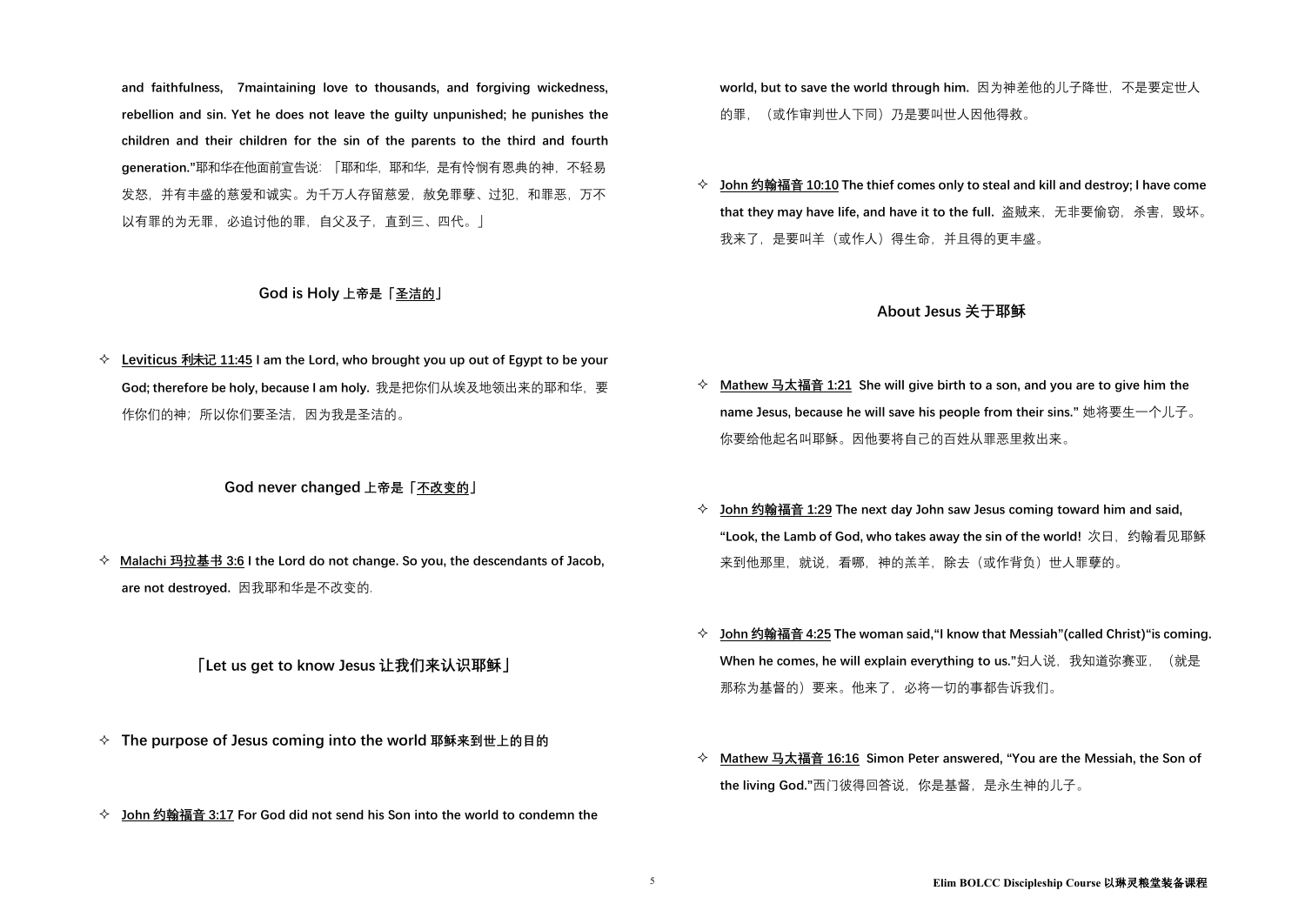**Leviticus [利未记](http://springbible.fhl.net/Bible2/cgic201/read201.cgi?ver=big5&na=0&chap=101&ft=0&temp=289) 11:45 I am the Lord, who brought you up out of Egypt to be your God; therefore be holy, because I am holy.** 我是把你们从埃及地领出来的耶和华,要 作你们的神;所以你们要圣洁,因为我是圣洁的。

**and faithfulness, 7maintaining love to thousands, and forgiving wickedness, rebellion and sin. Yet he does not leave the guilty unpunished; he punishes the children and their children for the sin of the parents to the third and fourth generation."**耶和华在他面前宣告说:「耶和华,耶和华,是有怜悯有恩典的神,不轻易 发怒,并有丰盛的慈爱和诚实。为千万人存留慈爱,赦免罪孽、过犯,和罪恶,万不 以有罪的为无罪,必追讨他的罪,自父及子,直到三、四代。」

## **God is Holy 上帝是「圣洁的」**

**world, but to save the world through him.** 因为神差他的儿子降世,不是要定世人 的罪, (或作审判世人下同) 乃是要叫世人因他得救。

## **God never changed 上帝是「不改变的」**

 **Malachi [玛拉基书](http://springbible.fhl.net/Bible2/cgic201/read201.cgi?ver=big5&na=0&chap=928&ft=0&temp=5) 3:6 I the Lord do not change. So you, the descendants of Jacob, are not destroyed.** 因我耶和华是不改变的.

**「Let us get to know Jesus 让我们来认识耶稣」**

- **The purpose of Jesus coming into the world 耶稣来到世上的目的**
- **John 约翰福音 3:17 For God did not send his Son into the world to condemn the**

 **John 约翰福音 10:10 The thief comes only to steal and kill and destroy; I have come that they may have life, and have it to the full.** 盗贼来,无非要偷窃,杀害,毁坏。 我来了,是要叫羊(或作人)得生命,并且得的更丰盛。

**About Jesus 关于耶稣**

- **Mathew 马太福音 1:21 She will give birth to a son, and you are to give him the name Jesus, because he will save his people from their sins."** 她将要生一个儿子。 你要给他起名叫耶稣。因他要将自己的百姓从罪恶里救出来。
- **John 约翰福音 1:29 The next day John saw Jesus coming toward him and said, "Look, the Lamb of God, who takes away the sin of the world!** 次日,约翰看见耶稣 来到他那里, 就说, 看哪, 神的羔羊, 除去 (或作背负) 世人罪孽的。
- **John 约翰福音 4:25 The woman said,"I know that Messiah"(called Christ)"is coming. When he comes, he will explain everything to us."**妇人说,我知道弥赛亚,(就是 那称为基督的)要来。他来了,必将一切的事都告诉我们。
- **Mathew 马太福音 16:16 Simon Peter answered, "You are the Messiah, the Son of the living God."**西门彼得回答说,你是基督,是永生神的儿子。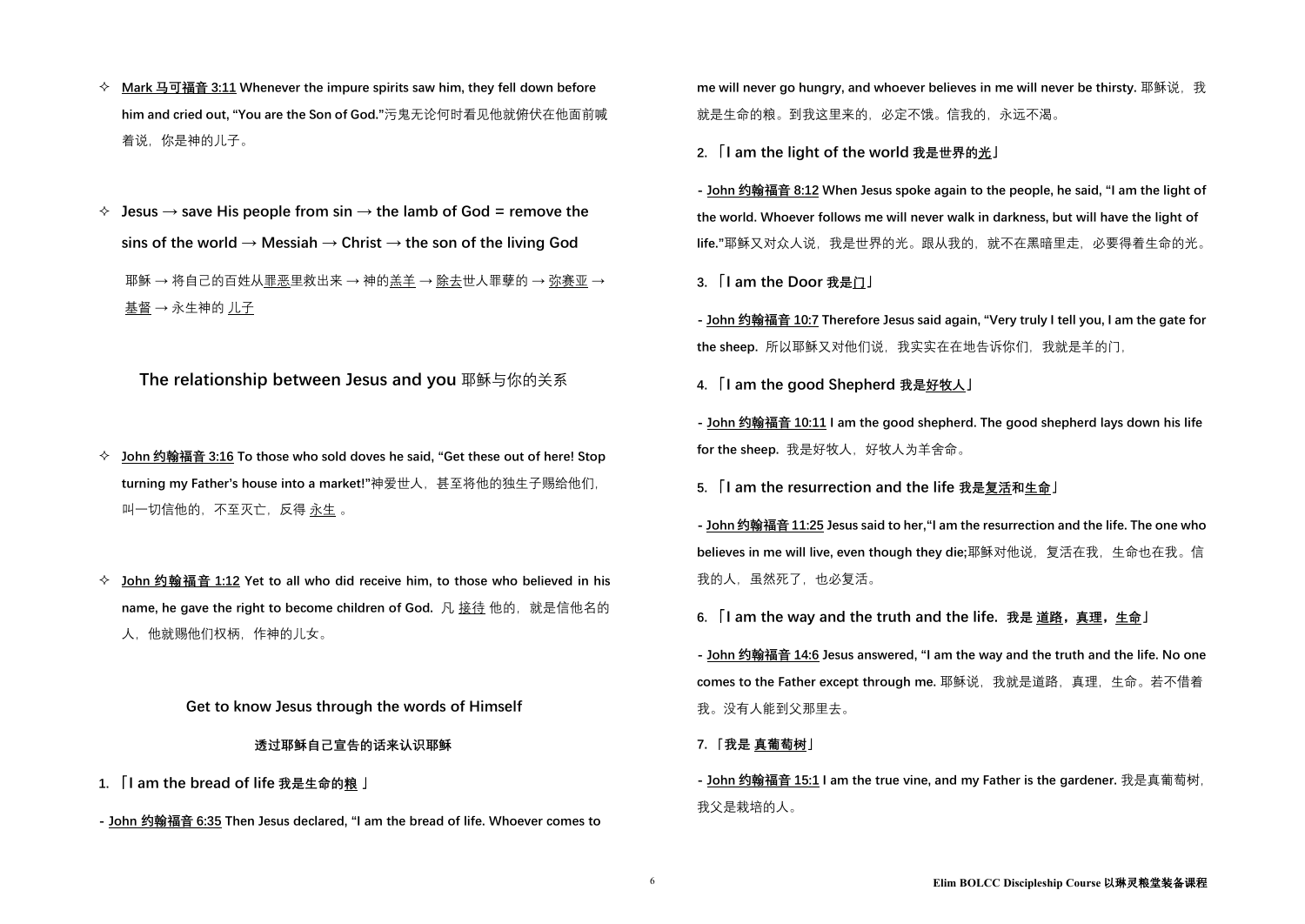- **Mark 马可福音 3:11 Whenever the impure spirits saw him, they fell down before him and cried out, "You are the Son of God."**污鬼无论何时看见他就俯伏在他面前喊 着说,你是神的儿子。
- **Jesus → save His people from sin → the lamb of God = remove the sins of the world → Messiah → Christ→ the son of the living God** 耶稣 → 将自己的百姓从罪恶里救出来 → 神的羔羊 → 除去世人罪孽的 → 弥赛亚 → 基督 → 永生神的 儿子

**The relationship between Jesus and you** 耶稣与你的关系

**- John 约翰福音 8:12 When Jesus spoke again to the people, he said, "I am the light of the world. Whoever follows me will never walk in darkness, but will have the light of** life."耶稣又对众人说,我是世界的光。跟从我的,就不在黑暗里走,必要得着生命的光。

- **John 约翰福音 3:16 To those who sold doves he said, "Get these out of here! Stop turning my Father's house into a market!"**神爱世人,甚至将他的独生子赐给他们, 叫一切信他的,不至灭亡,反得永生。
- **John 约翰福音 1:12 Yet to all who did receive him, to those who believed in his name, he gave the right to become children of God.** 凡 接待 他的,就是信他名的 人,他就赐他们权柄,作神的儿女。

**Get to know Jesus through the words of Himself**

**透过耶稣自己宣告的话来认识耶稣**

**1.** 「**I am the bread of life 我是生命的粮** 」

**- John 约翰福音 6:35 Then Jesus declared, "I am the bread of life. Whoever comes to**

**me will never go hungry, and whoever believes in me will never be thirsty.** 耶稣说,我 就是生命的粮。到我这里来的,必定不饿。信我的,永远不渴。

**2.** 「**I am the light ofthe world 我是世界的光**」

**3.** 「**I am the Door 我是门**」

**- John 约翰福音 10:7 Therefore Jesus said again,"Very truly I tell you, I am the gate for the sheep.** 所以耶稣又对他们说,我实实在在地告诉你们,我就是羊的门,

**4.** 「**I am the good Shepherd 我是好牧人**」

**- John 约翰福音 10:11 I am the good shepherd. The good shepherd lays down his life for the sheep.** 我是好牧人,好牧人为羊舍命。

**5.** 「**I am the resurrection and the life 我是复活和生命**」

**- John约翰福音11:25 Jesus said to her,"I am the resurrection and the life. The one who believes in me will live, even though they die;**耶稣对他说,复活在我,生命也在我。信 我的人,虽然死了,也必复活。

**6.** 「**I am the way and the truth and the life. 我是 道路,真理,生命**」

**- John 约翰福音 14:6 Jesus answered, "I am the way and the truth and the life. No one comes to the Father except through me.** 耶稣说,我就是道路,真理,生命。若不借着 我。没有人能到父那里去。

**7.** 「**我是 真葡萄树**」

**- John 约翰福音 15:1 I am the true vine, and my Father is the gardener.** 我是真葡萄树, 我父是栽培的人。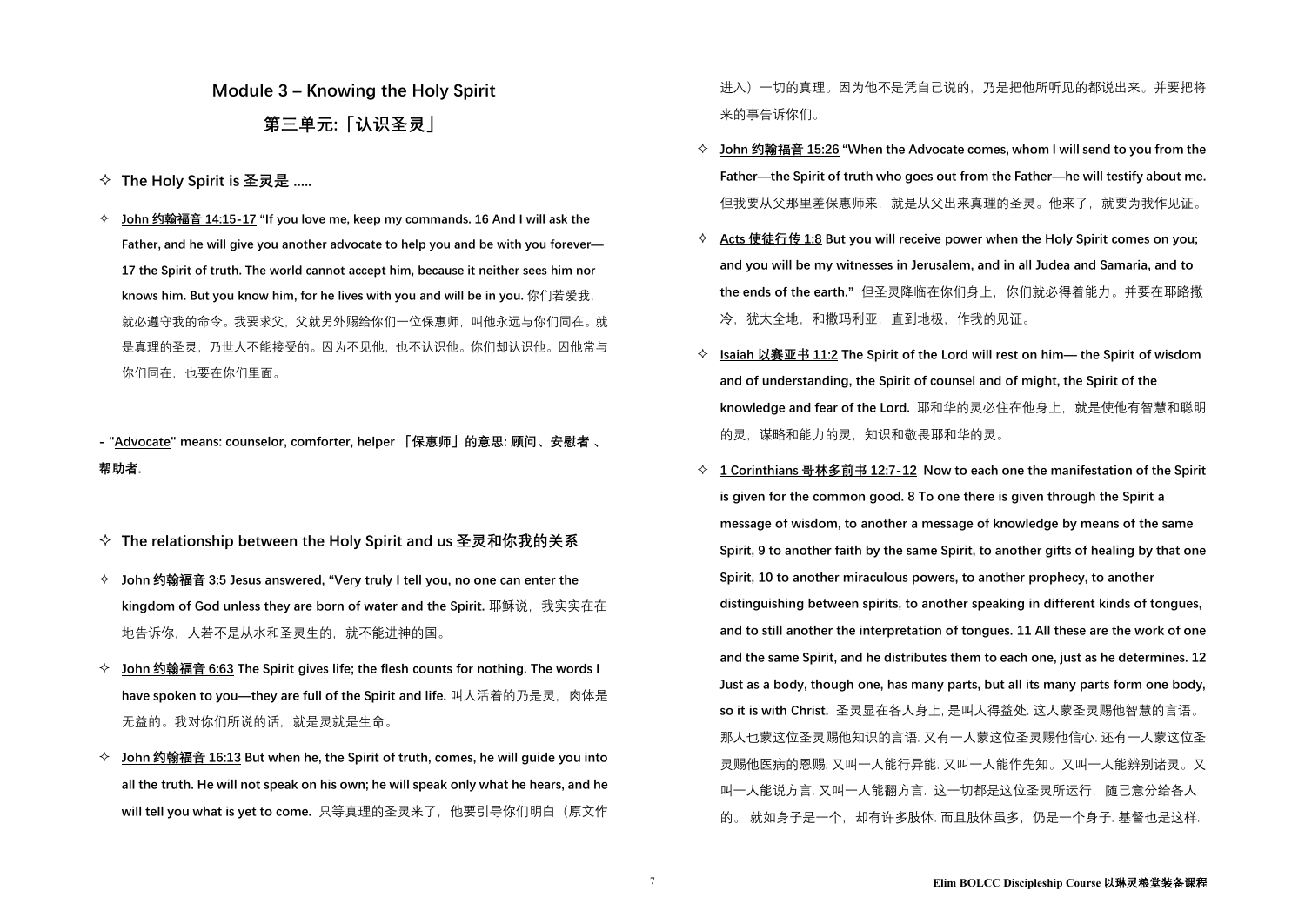**Module 3 – Knowing the Holy Spirit**

**第三单元:「认识圣灵」**

进入)—切的真理。因为他不是凭自己说的,乃是把他所听见的都说出来。并要把将 来的事告诉你们。

- **John 约翰福音 15:26 "When the Advocate comes, whom I will send to you from the Father—the Spirit of truth who goes out from the Father—he will testify about me.** 但我要从父那里差保惠师来,就是从父出来真理的圣灵。他来了,就要为我作见证。
- **Acts 使徒行传 1:8 But you willreceive power when the Holy Spirit comes on you; and you will be my witnesses in Jerusalem, and in all Judea and Samaria, and to the ends of the earth."** 但圣灵降临在你们身上,你们就必得着能力。并要在耶路撒 冷,犹太全地,和撒玛利亚,直到地极,作我的见证。
- **Isaiah 以赛亚书 11:2 The Spirit of the Lord will rest on him— the Spirit of wisdom and of understanding, the Spirit of counsel and of might, the Spirit of the knowledge and fear of the Lord.** 耶和华的灵必住在他身上,就是使他有智慧和聪明 的灵,谋略和能力的灵,知识和敬畏耶和华的灵。
- **1 Corinthians 哥林多前书 12:7-12 Now to each one the manifestation of the Spirit is given for the common good. 8 To one there is given through the Spirit a message of wisdom, to another a message of knowledge by means of the same Spirit, 9 to another faith by the same Spirit,to another gifts of healing by that one Spirit, 10 to another miraculous powers, to another prophecy, to another distinguishing between spirits, to another speaking in differentkinds of tongues, and to still another the interpretation of tongues. 11 All these are the work of one and the same Spirit, and hedistributes them to each one, just as he determines. 12 Just as a body,though one, has many parts, but all its many parts form one body, so it is with Christ.** 圣灵显在各人身上, 是叫人得益处. 这人蒙圣灵赐他智慧的言语。 那人也蒙这位圣灵赐他知识的言语. 又有一人蒙这位圣灵赐他信心. 还有一人蒙这位圣 灵赐他医病的恩赐. 又叫一人能行异能. 又叫一人能作先知。又叫一人能辨别诸灵。又 叫一人能说方言. 又叫一人能翻方言. 这一切都是这位圣灵所运行, 随己意分给各人 的。 就如身子是一个,却有许多肢体. 而且肢体虽多, 仍是一个身子. 基督也是这样.

- **The Holy Spirit is 圣灵是 .....**
- **John 约翰福音 14:15-17 "If you love me, keep my commands. 16 And I will ask the Father, and he will give you another advocate to help you and be with you forever— 17 the Spirit of truth. The world cannot accept him, because it neither sees him nor knows him. But you know him, for he lives with you and will be in you.** 你们若爱我, 就必遵守我的命令。我要求父,父就另外赐给你们一位保惠师,叫他永远与你们同在。就 是真理的圣灵,乃世人不能接受的。因为不见他,也不认识他。你们却认识他。因他常与 你们同在,也要在你们里面。
- **- "Advocate" means: counselor, comforter, helper 「保惠师」的意思: 顾问、安慰者 、 帮助者.**
- **The relationship between the Holy Spirit and us 圣灵和你我的关系**
- **John 约翰福音 3:5 Jesus answered, "Very truly I tell you, no one can enter the kingdom of God unless they are born of waterand the Spirit.** 耶稣说,我实实在在 地告诉你,人若不是从水和圣灵生的,就不能进神的国。
- **John 约翰福音 6:63 The Spirit gives life; the flesh counts for nothing. The words I have spoken to you—they are full of the Spirit and life.** 叫人活着的乃是灵,肉体是 无益的。我对你们所说的话,就是灵就是生命。
- **John 约翰福音 16:13 But when he, the Spirit of truth, comes, he will guide you into all the truth. He will not speak on his own;he will speak only what he hears, and he will tell you what is yet to come.** 只等真理的圣灵来了,他要引导你们明白(原文作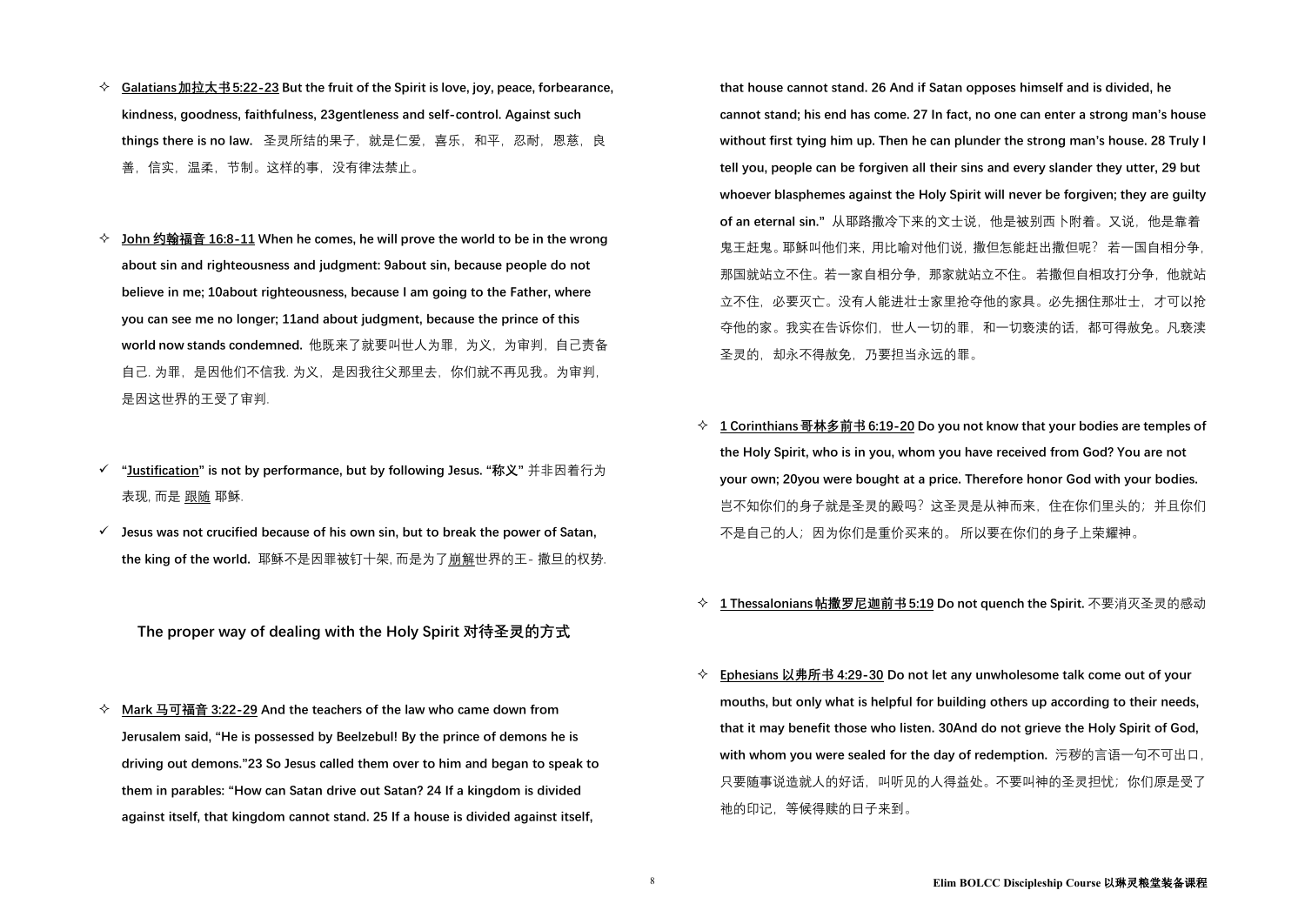- **Galatians加拉太书5:22-23 But the fruit of the Spirit is love, joy, peace, forbearance, kindness, goodness, faithfulness, 23gentleness and self-control. Against such things there is no law.** 圣灵所结的果子,就是仁爱,喜乐,和平,忍耐,恩慈,良 善,信实,温柔,节制。这样的事,没有律法禁止。
- **John 约翰福音 16:8-11 When he comes, he will prove the world to be in the wrong about sin and righteousness and judgment: 9about sin, because people do not believe in me; 10about righteousness, because I am going to the Father, where you can see me no longer; 11and about judgment, because the prince of this world now stands condemned.** 他既来了就要叫世人为罪,为义,为审判,自己责备 自己. 为罪,是因他们不信我. 为义,是因我往父那里去,你们就不再见我。为审判, 是因这世界的王受了审判.
- **"Justification" is not by performance, but by following Jesus. "称义"** 并非因着行为 表现, 而是 跟随 耶稣.
- **Jesus was not crucified because of his own sin, but to break the power of Satan, the king of the world.** 耶稣不是因罪被钉十架, 而是为了崩解世界的王- 撒旦的权势.

**The proper way of dealing with the Holy Spirit 对待圣灵的方式**

 **Mark 马可福音 3:22-29 And the teachers of the law who came down from Jerusalem said, "He is possessed by Beelzebul! By the prince of demons he is driving out demons."23 So Jesus called them over to him and began to speak to them in parables: "How can Satan drive out Satan? 24 If a kingdom is divided against itself, that kingdom cannot stand. 25 If a house is divided against itself,**

**that house cannot stand. 26 And if Satan opposes himself and is divided, he cannot stand; his end has come. 27 In fact, no one can enter a strong man's house without first tying him up. Then he can plunder the strong man's house. 28 Truly I tell you, people can be forgiven all their sins and every slander they utter, 29 but whoever blasphemes against the Holy Spirit will never be forgiven; they are guilty of an eternal sin."** 从耶路撒冷下来的文士说,他是被别西卜附着。又说,他是靠着 鬼王赶鬼。耶稣叫他们来,用比喻对他们说,撒但怎能赶出撒但呢? 若一国自相分争, 那国就站立不住。若一家自相分争,那家就站立不住。若撒但自相攻打分争,他就站 立不住,必要灭亡。没有人能进壮士家里抢夺他的家具。必先捆住那壮士,才可以抢 夺他的家。我实在告诉你们,世人一切的罪,和一切亵渎的话,都可得赦免。凡亵渎 圣灵的,却永不得赦免,乃要担当永远的罪。

- **1 Corinthians哥林多前书6:19-20 Do you not know that your bodies are temples of the Holy Spirit, who is in you, whom you have received from God? You are not your own;20you were bought at a price. Therefore honor God with your bodies.** 岂不知你们的身子就是圣灵的殿吗?这圣灵是从神而来,住在你们里头的;并且你们 不是自己的人;因为你们是重价买来的。 所以要在你们的身子上荣耀神。
- **1 Thessalonians帖撒罗尼迦前书5:19 Do not quench the Spirit.** 不要消灭圣灵的感动
- **Ephesians 以弗所书 4:29-30 Do not let any unwholesome talk come out of your mouths, but only what is helpful for building others up according to their needs, that it may benefit those who listen. 30And do not grieve the Holy Spirit of God, with whom you were sealed for the day of redemption.** 污秽的言语一句不可出口, 只要随事说造就人的好话,叫听见的人得益处。不要叫神的圣灵担忧;你们原是受了 祂的印记,等候得赎的日子来到。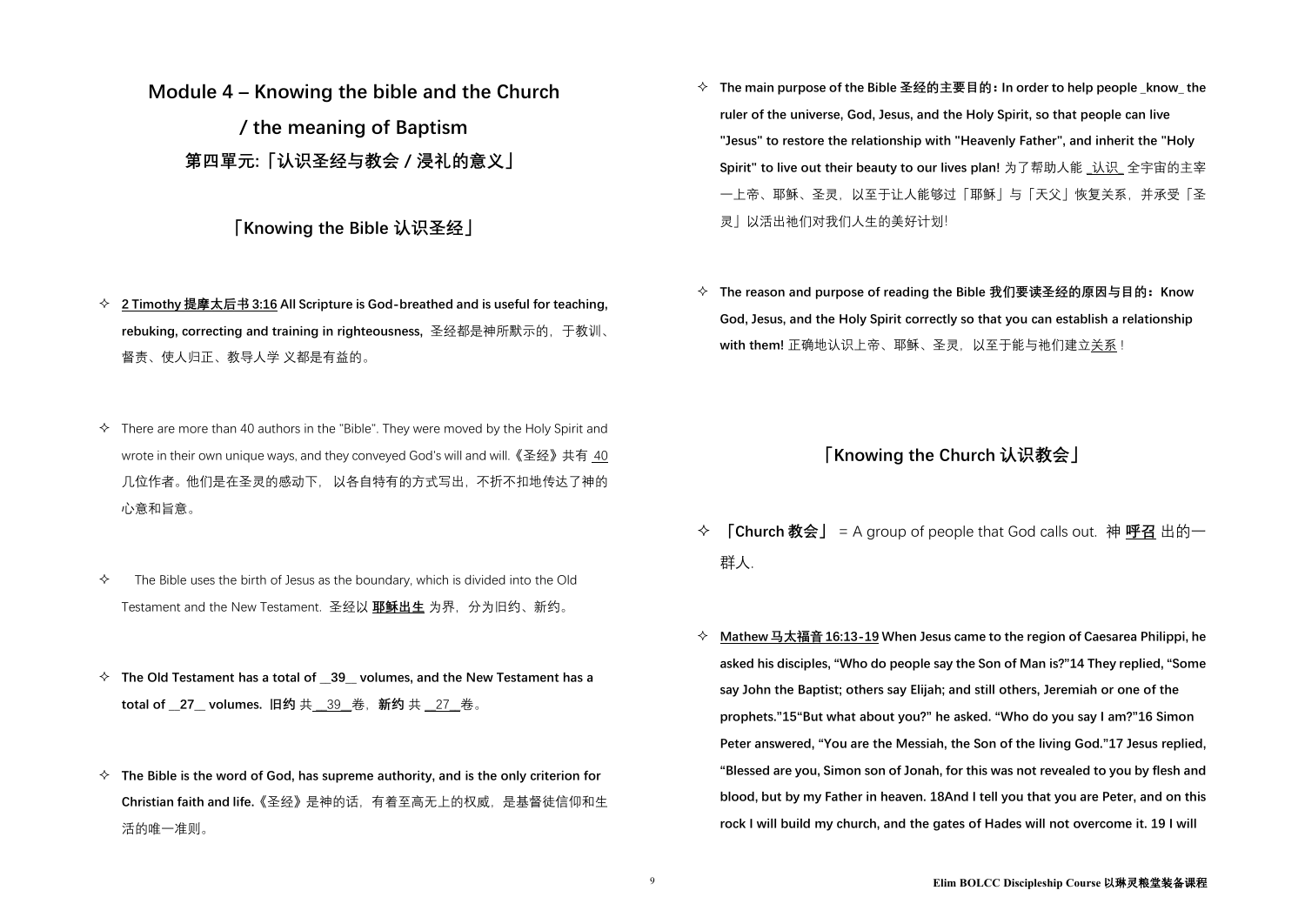**Module 4 – Knowing the bible and the Church / the meaning of Baptism 第四單元:「认识圣经与教会 / 浸礼的意义」**

**「Knowing the Bible 认识圣经」**

- **2 Timothy 提摩太后书 3:16 All Scripture is God-breathed and is useful for teaching, rebuking, correcting and training in righteousness,** 圣经都是神所默示的,于教训、 督责、使人归正、教导人学 义都是有益的。
- $\Diamond$  There are more than 40 authors in the "Bible". They were moved by the Holy Spirit and wrote in their own unique ways, and they conveyed God's will and will.《圣经》共有 40 几位作者。他们是在圣灵的感动下,以各自特有的方式写出,不折不扣地传达了神的 心意和旨意。
- $\Diamond$  The Bible uses the birth of Jesus as the boundary, which is divided into the Old Testament and the New Testament. 圣经以 **耶稣出生** 为界,分为旧约、新约。
- **The Old Testament has a total of \_\_39\_\_ volumes, and the New Testament has a total of \_\_27\_\_ volumes. 旧约** 共 \_\_39\_\_卷,**新约** 共 \_\_27\_\_卷。
- **The Bible is the word of God, has supreme authority, and is the only criterion for Christian faith and life.**《圣经》是神的话,有着至高无上的权威,是基督徒信仰和生 活的唯一准则。
- **The main purpose of the Bible 圣经的主要目的:In order to help people \_know\_ the ruler of the universe, God, Jesus, and the Holy Spirit, so that people can live "Jesus" to restore the relationship with "Heavenly Father", and inherit the "Holy Spirit" to live out their beauty to our lives plan!** 为了帮助人能 \_认识\_ 全宇宙的主宰 一上帝、耶稣、圣灵,以至于让人能够过「耶稣」与「天父」恢复关系,并承受「圣 灵」以活出祂们对我们人生的美好计划!
- **The reasonand purpose of reading the Bible 我们要读圣经的原因与目的:Know God, Jesus, and the Holy Spirit correctly so that you can establish a relationship with them!** 正确地认识上帝、耶稣、圣灵,以至于能与祂们建立关系 !

## **「Knowing the Church 认识教会」**

- **「Church 教会」** = A group of people that God calls out. 神 **呼召** 出的一 群人.
- **Mathew马太福音 16:13-19 When Jesus came to the region of Caesarea Philippi, he asked his disciples, "Who do people say the Son of Man is?"14 They replied,"Some say John the Baptist; others say Elijah; and still others, Jeremiah or one of the prophets."15"But what about you?" he asked. "Who do you say I am?"16 Simon Peter answered, "You are the Messiah, the Son of the living God."17 Jesus replied, "Blessed are you, Simon son of Jonah, for this was not revealed to you by flesh and blood, but by my Father in heaven. 18And I tell you that you are Peter, and on this rock I will build my church, and the gates of Hades will not overcome it. 19 I will**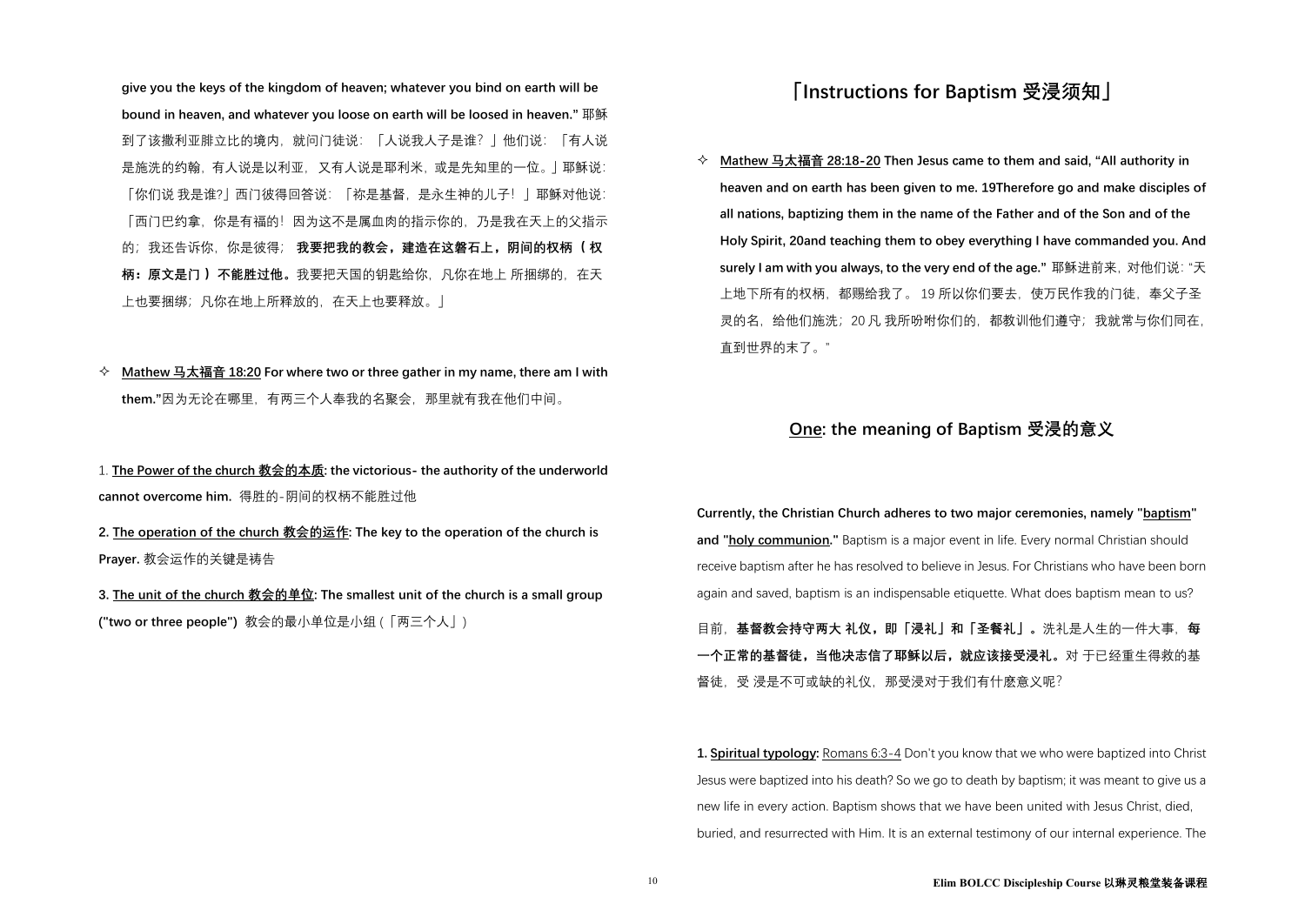**give you the keys ofthe kingdom of heaven; whatever you bind on earth will be bound in heaven, and whateveryou loose on earth will be loosed in heaven."** 耶稣 到了该撒利亚腓立比的境内,就问门徒说:「人说我人子是谁?」他们说:「有人说 是施洗的约翰, 有人说是以利亚, 又有人说是耶利米, 或是先知里的一位。| 耶稣说: 「你们说 我是谁?」西门彼得回答说:「祢是基督,是永生神的儿子!」耶稣对他说: 「西门巴约拿,你是有福的!因为这不是属血肉的指示你的,乃是我在天上的父指示 的;我还告诉你,你是彼得; **我要把我的教会,建造在这磐石上,阴间的权柄( 权 柄:原文是门 )不能胜过他。**我要把天国的钥匙给你,凡你在地上 所捆绑的,在天 上也要捆绑;凡你在地上所释放的,在天上也要释放。」

 **Mathew 马太福音 18:20 For where two or three gather in my name, there am I with them."**因为无论在哪里,有两三个人奉我的名聚会,那里就有我在他们中间。

1. **The Powerof the church 教会的本质: the victorious- the authority of the underworld cannot overcome him.** 得胜的-阴间的权柄不能胜过他

**2. The operation of the church 教会的运作: The key to the operation of the church is Prayer.** 教会运作的关键是祷告

**3. The unit of the church 教会的单位: The smallest unit of the church is a small group ("two or three people")** 教会的最小单位是小组 (「两三个人」)

目前,**基督教会持守两大 礼仪,即「浸礼」和「圣餐礼」。**洗礼是人生的一件大事,**每 一个正常的基督徒,当他决志信了耶稣以后,就应该接受浸礼。**对 于已经重生得救的基 督徒,受 浸是不可或缺的礼仪, 那受浸对于我们有什麽意义呢?

## **「Instructions for Baptism 受浸须知」**

 **Mathew 马太福音 28:18-20 Then Jesus came to them and said, "All authority in heaven and on earth has been given to me. 19Therefore go and make disciples of all nations, baptizing them in the name of the Father and of the Son and of the Holy Spirit, 20and teaching them to obey everything I have commanded you. And surely I am with you always, to the very end ofthe age."** 耶稣进前来,对他们说:"天 上地下所有的权柄,都赐给我了。 19 所以你们要去,使万民作我的门徒,奉父子圣 灵的名,给他们施洗;20 凡,我所吩咐你们的,都教训他们遵守;我就常与你们同在, 直到世界的末了。"

## **One: the meaning of Baptism 受浸的意义**

**Currently, the Christian Church adheres to two major ceremonies, namely "baptism" and "holy communion."** Baptism is a major event in life. Every normal Christian should receive baptism after he has resolved to believe in Jesus. For Christians who have been born again and saved, baptism is an indispensable etiquette. What does baptism mean to us?

**1. Spiritual typology:** Romans 6:3-4 Don't you know thatwe who were baptized into Christ Jesus were baptized into his death? So we go to death by baptism; it was meant to give us a new life in every action. Baptism shows that we have been united with Jesus Christ, died, buried, and resurrected with Him. It is an external testimony of our internal experience. The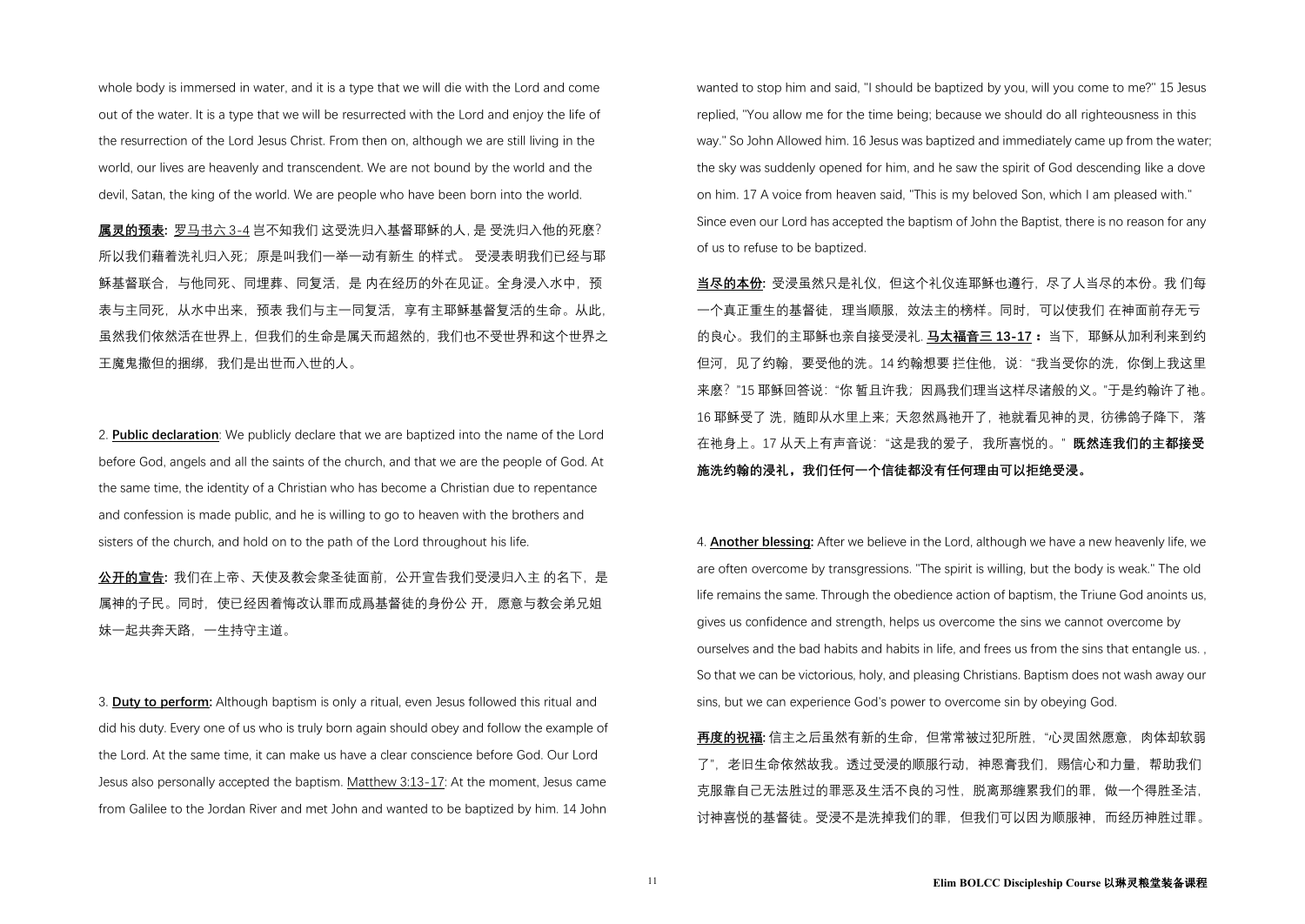whole body is immersed in water, and it is a type that we will die with the Lord and come out of the water. It is a type that we will be resurrected with the Lord and enjoy the life of the resurrection of the Lord Jesus Christ. From then on, although we are still living in the world, our lives are heavenly and transcendent. We are not bound by the world and the devil, Satan, the king of the world. We are people who have been born into the world.

**属灵的预表:** 罗马书六 3-4 岂不知我们 这受洗归入基督耶稣的人,是 受洗归入他的死麽? 所以我们藉着洗礼归入死;原是叫我们一举一动有新生 的样式。 受浸表明我们已经与耶 稣基督联合,与他同死、同埋葬、同复活,是 内在经历的外在见证。全身浸入水中,预 表与主同死,从水中出来,预表 我们与主一同复活,享有主耶稣基督复活的生命。从此, 虽然我们依然活在世界上,但我们的生命是属天而超然的,我们也不受世界和这个世界之 王魔鬼撒但的捆绑,我们是出世而入世的人。

2. **Public declaration**: We publicly declare that we are baptized into the name of the Lord before God, angels and all the saints of the church, and that we are the people of God. At the same time, the identity of a Christian who has become a Christian due to repentance and confession is made public, and he is willing to go to heaven with the brothers and sisters of the church, and hold on to the path of the Lord throughout his life.

**公开的宣告:** 我们在上帝、天使及教会衆圣徒面前,公开宣告我们受浸归入主 的名下,是 属神的子民。同时,使已经因着悔改认罪而成爲基督徒的身份公 开,愿意与教会弟兄姐 妹一起共奔天路,一生持守主道。

3. **Duty to perform:** Although baptism is only a ritual, even Jesus followed this ritual and did his duty. Every one of us who is truly born again should obey and follow the example of the Lord. At the same time, it can make us have a clear conscience before God. Our Lord Jesus also personally accepted the baptism. Matthew 3:13-17: At the moment, Jesus came from Galilee to the Jordan River and met John and wanted to be baptized by him. 14 John wanted to stop him and said, "I should be baptized by you, will you come to me?" 15 Jesus replied, "You allow me for the time being; because we should do all righteousness in this way." So John Allowed him. 16 Jesus was baptized and immediately came up from the water; the sky was suddenly opened for him, and he saw the spirit of God descending like a dove on him. 17 A voice from heaven said, "This is my beloved Son, which I am pleased with." Since even our Lord has accepted the baptism of John the Baptist, there is no reason for any of us to refuse to be baptized.

**当尽的本份:** 受浸虽然只是礼仪,但这个礼仪连耶稣也遵行,尽了人当尽的本份。我 们每 一个真正重生的基督徒,理当顺服,效法主的榜样。同时,可以使我们 在神面前存无亏 的良心。我们的主耶稣也亲自接受浸礼. **马太福音三 13-17 :**当下,耶稣从加利利来到约 但河,见了约翰,要受他的洗。14 约翰想要 拦住他,说:"我当受你的洗,你倒上我这里 来麽?"15 耶稣回答说:"你 暂且许我; 因爲我们理当这样尽诸般的义。"于是约翰许了祂。 16 耶稣受了洗, 随即从水里上来; 天忽然爲祂开了, 祂就看见神的灵, 彷彿鸽子降下, 落 在祂身上。17 从天上有声音说:"这是我的爱子,我所喜悦的。" **既然连我们的主都接受 施洗约翰的浸礼,我们任何一个信徒都没有任何理由可以拒绝受浸。**

4. **Another blessing:** After we believe in the Lord, although we have a new heavenly life, we are often overcome by transgressions. "The spirit is willing, but the body is weak." The old life remains the same. Through the obedience action of baptism, the Triune God anoints us, gives us confidence and strength, helps us overcome the sins we cannot overcome by ourselves and the bad habits and habits in life, and frees us from the sins that entangle us., So that we can be victorious, holy, and pleasing Christians. Baptism does not wash away our sins, but we can experience God's power to overcome sin by obeying God.

**再度的祝福:** 信主之后虽然有新的生命,但常常被过犯所胜,"心灵固然愿意,肉体却软弱 了",老旧生命依然故我。透过受浸的顺服行动,神恩膏我们,赐信心和力量,帮助我们 克服靠自己无法胜过的罪恶及生活不良的习性, 脱离那缠累我们的罪, 做一个得胜圣洁, 讨神喜悦的基督徒。受浸不是洗掉我们的罪,但我们可以因为顺服神,而经历神胜过罪。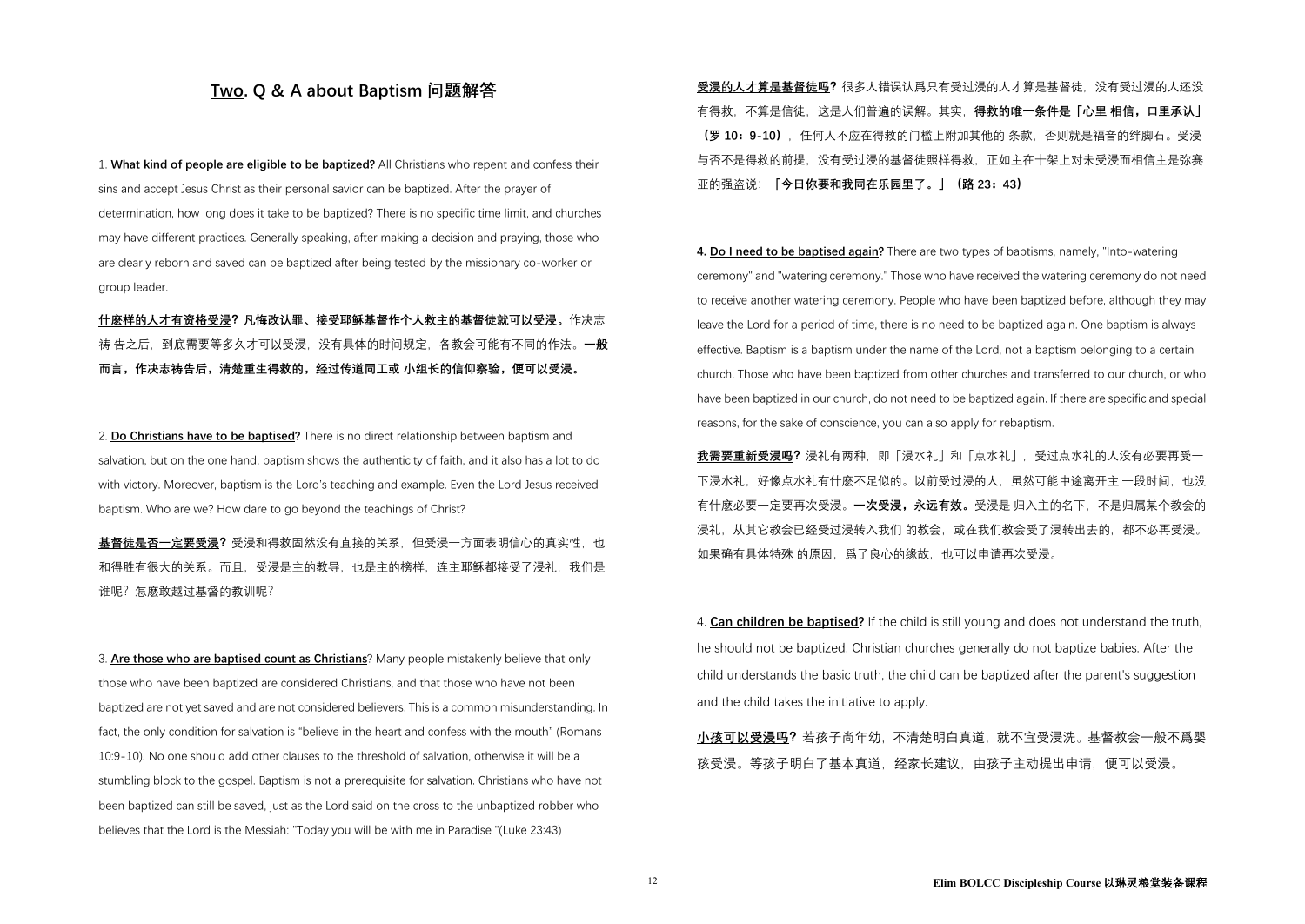## **Two. Q & A about Baptism 问题解答**

1. **What kind of people are eligible to be baptized?** All Christians who repent and confess their sins and accept Jesus Christ as their personal savior can be baptized. After the prayer of determination, how long does it take to be baptized? There is no specific time limit, and churches may have different practices. Generally speaking, after making a decision and praying, those who are clearly reborn and saved can be baptized after being tested by the missionary co-worker or group leader.

**什麽样的人才有资格受浸?凡悔改认罪、接受耶稣基督作个人救主的基督徒就可以受浸。**作决志 祷 告之后,到底需要等多久才可以受浸,没有具体的时间规定,各教会可能有不同的作法。**一般 而言,作决志祷告后,清楚重生得救的,经过传道同工或 小组长的信仰察验,便可以受浸。**

2. **Do Christians have to be baptised?** There is no direct relationship between baptism and salvation, but on the one hand, baptism shows the authenticity of faith, and it also has a lot to do with victory. Moreover, baptism is the Lord's teaching and example. Even the Lord Jesus received baptism. Who are we? How dare to go beyond the teachings of Christ?

**基督徒是否一定要受浸?**受浸和得救固然没有直接的关系,但受浸一方面表明信心的真实性,也 和得胜有很大的关系。而且,受浸是主的教导,也是主的榜样,连主耶稣都接受了浸礼,我们是 谁呢?怎麽敢越过基督的教训呢?

**我需要重新受浸吗?**浸礼有两种,即「浸水礼」和「点水礼」,受过点水礼的人没有必要再受一 下浸水礼,好像点水礼有什麽不足似的。以前受过浸的人,虽然可能中途离开主 一段时间,也没 有什麽必要一定要再次受浸。**一次受浸,永远有效。**受浸是 归入主的名下,不是归属某个教会的 浸礼,从其它教会已经受过浸转入我们 的教会,或在我们教会受了浸转出去的,都不必再受浸。 如果确有具体特殊 的原因, 爲了良心的缘故, 也可以申请再次受浸。

3. **Are those who are baptised count as Christians**? Many people mistakenly believe that only those who have been baptized are considered Christians, and that those who have not been baptized are not yet saved and are not considered believers. This is a common misunderstanding. In fact, the only condition for salvation is "believe in the heart and confess with the mouth" (Romans 10:9-10). No one should add other clauses to the threshold of salvation, otherwise it will be a stumbling block to the gospel. Baptism is nota prerequisite for salvation. Christians who have not been baptized can still be saved, just as the Lord said on the cross to the unbaptized robber who believes that the Lord is the Messiah: "Today you will be with me in Paradise "(Luke 23:43)

**受浸的人才算是基督徒吗?**很多人错误认爲只有受过浸的人才算是基督徒,没有受过浸的人还没 有得救,不算是信徒,这是人们普遍的误解。其实,**得救的唯一条件是「心里 相信,口里承认」 (罗 10:9-10)**,任何人不应在得救的门槛上附加其他的 条款,否则就是福音的绊脚石。受浸 与否不是得救的前提,没有受过浸的基督徒照样得救,正如主在十架上对未受浸而相信主是弥赛 亚的强盗说:**「今日你要和我同在乐园里了。」(路 23:43)**

**4. Do I need to be baptised again?** There are two types of baptisms, namely, "Into-watering ceremony" and "watering ceremony." Those who have received the watering ceremony do not need to receive another watering ceremony. People who have been baptized before, although they may leave the Lord for a period of time, there is no need to be baptized again. One baptism is always effective. Baptism is a baptism under the name of the Lord, not a baptism belonging to a certain church. Those who have been baptized from other churches and transferred to our church, or who have been baptized in our church, do not need to be baptized again. If there are specific and special reasons, for the sake of conscience, you can also apply for rebaptism.

4. **Can children be baptised?** If the child is still young and does notunderstand the truth, he should not be baptized. Christian churches generally do not baptize babies. After the child understands the basic truth, the child can be baptized after the parent's suggestion and the child takes the initiative to apply.

**小孩可以受浸吗?**若孩子尚年幼,不清楚明白真道,就不宜受浸洗。基督教会一般不爲婴 孩受浸。等孩子明白了基本真道,经家长建议,由孩子主动提出申请,便可以受浸。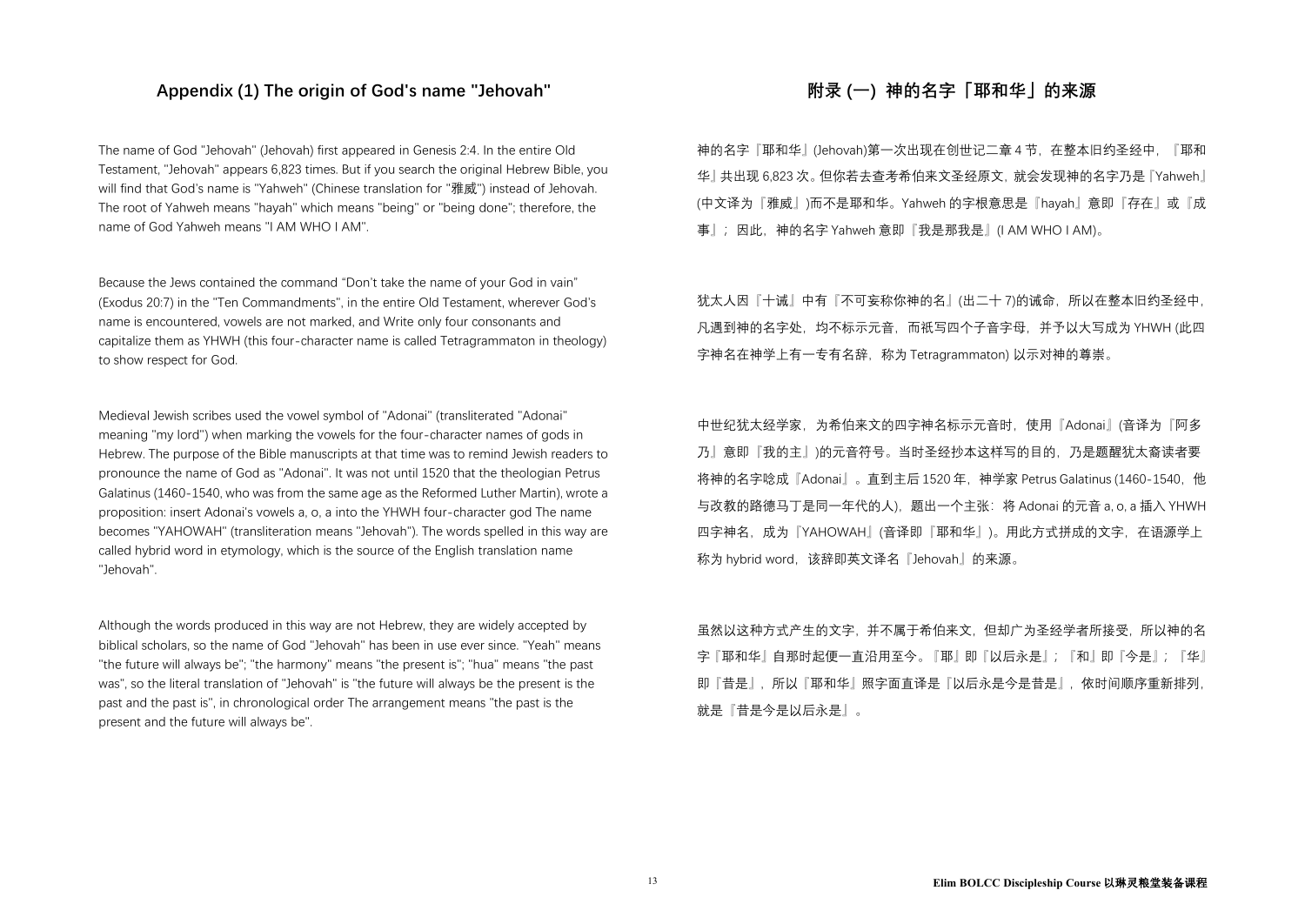## **Appendix (1) The origin of God's name "Jehovah"**

The name of God "Jehovah" (Jehovah) first appeared in Genesis 2:4. In the entire Old Testament, "Jehovah" appears 6,823 times. But if you search the original Hebrew Bible, you will find that God's name is "Yahweh" (Chinese translation for "雅威") instead of Jehovah. The root of Yahweh means "hayah" which means "being" or "being done"; therefore, the name of God Yahweh means "I AM WHO I AM".

Because the Jews contained the command "Don't take the name of your God in vain" (Exodus 20:7) in the "Ten Commandments", in the entire Old Testament, wherever God's name is encountered, vowels are not marked, and Write only four consonants and capitalize them as YHWH (this four-character name is called Tetragrammaton in theology) to show respect for God.

Medieval Jewish scribes used the vowel symbol of "Adonai" (transliterated "Adonai"<br>meaning "my lord") when marking the vowels for the four-character names of gods in Hebrew. The purpose of the Bible manuscripts at that time was to remind Jewish readers to pronounce the name of God as "Adonai". It was not until 1520 that the theologian Petrus Galatinus (1460-1540, who was from the same age as the Reformed Luther Martin), wrote a proposition: insert Adonai's vowels a, o, a into the YHWH four-character god The name becomes "YAHOWAH" (transliteration means "Jehovah"). The words spelled in this way are called hybrid word in etymology, which is the source of the English translation name "Jehovah".

犹太人因『十诫』中有『不可妄称你神的名』(出二十7)的诫命,所以在整本旧约圣经中, 凡遇到神的名字处,均不标示元音,而祇写四个子音字母,并予以大写成为 YHWH (此四 字神名在神学上有一专有名辞,称为 Tetragrammaton) 以示对神的尊崇。

Although the words produced in this way are not Hebrew, they are widely accepted by biblical scholars, so the name of God "Jehovah" has been in use ever since. "Yeah" means "the future will always be"; "the harmony" means "the present is"; "hua" means "the past was", so the literal translation of "Jehovah" is "the future will always be the present is the past and the past is", in chronological order The arrangement means "the past is the present and the future will always be".

## **附录 (一) 神的名字「耶和华」的来源**

神的名字『耶和华』(Jehovah)第一次出现在创世记二章 4 节,在整本旧约圣经中,『耶和 华』共出现 6,823 次。但你若去查考希伯来文圣经原文,就会发现神的名字乃是『Yahweh』 (中文译为『雅威』)而不是耶和华。Yahweh 的字根意思是『hayah』意即『存在』或『成 事』;因此,神的名字 Yahweh 意即『我是那我是』(I AM WHO I AM)。

中世纪犹太经学家,为希伯来文的四字神名标示元音时,使用『Adonai』(音译为『阿多 乃』意即『我的主』)的元音符号。当时圣经抄本这样写的目的,乃是题醒犹太裔读者要 将神的名字唸成『Adonai』。直到主后 1520 年, 神学家 Petrus Galatinus (1460-1540, 他 与改教的路德马丁是同一年代的人),题出一个主张:将 Adonai 的元音 a, o, a 插入 YHWH 四字神名,成为『YAHOWAH』(音译即『耶和华』)。用此方式拼成的文字,在语源学上 称为 hybrid word,该辞即英文译名『Jehovah』的来源。

虽然以这种方式产生的文字,并不属于希伯来文,但却广为圣经学者所接受,所以神的名 字『耶和华』自那时起便一直沿用至今。『耶』即『以后永是』;『和』即『今是』;『华』 即『昔是』,所以『耶和华』照字面直译是『以后永是今是昔是』,依时间顺序重新排列, 就是『昔是今是以后永是』。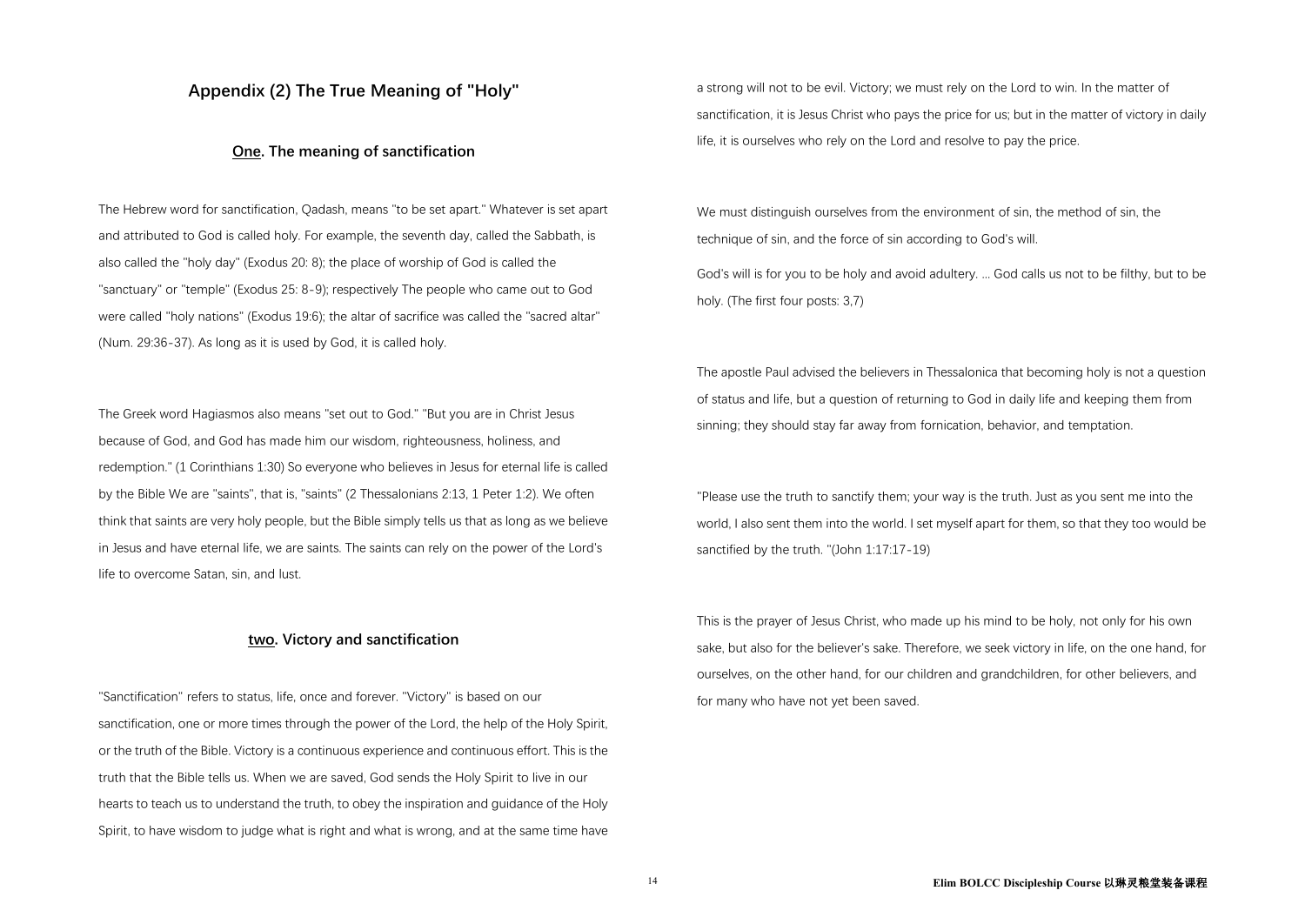## **Appendix (2) The True Meaning of "Holy"**

## **One. The meaning of sanctification**

The Hebrew word for sanctification, Qadash, means "to be set apart." Whatever is set apart and attributed to God is called holy. For example, the seventh day, called the Sabbath, is also called the "holy day" (Exodus 20: 8); the place of worship of God is called the "sanctuary" or "temple" (Exodus 25: 8-9); respectively The people who came out to God were called "holy nations" (Exodus 19:6); the altar of sacrifice was called the "sacred altar" (Num. 29:36-37). As long as it is used by God, it is called holy.

"Sanctification" refers to status, life, once and forever. "Victory" is based on our sanctification, one or more times through the power of the Lord, the help of the Holy Spirit, or the truth of the Bible. Victory is a continuous experience and continuous effort. This is the truth that the Bible tells us. When we are saved, God sends the Holy Spirit to live in our hearts to teach us to understand the truth, to obey the inspiration and guidance of the Holy Spirit, to have wisdom to judge what is right and what is wrong, and at the same time have

The Greek word Hagiasmos also means "set out to God." "But you are in Christ Jesus because of God, and God has made him our wisdom, righteousness, holiness, and redemption." (1 Corinthians 1:30) So everyone who believes in Jesus for eternal life is called by the Bible We are "saints", that is, "saints" (2 Thessalonians 2:13, 1 Peter 1:2). We often think that saints are very holy people, but the Bible simply tells us that as long as we believe in Jesus and have eternal life, we are saints. The saints can rely on the power of the Lord's life to overcome Satan, sin, and lust.

a strong will not to be evil. Victory; we must rely on the Lord to win. In the matter of sanctification, it is Jesus Christ who pays the price for us; but in the matter of victory in daily life, it is ourselves who rely on the Lord and resolve to pay the price.

## **two. Victory and sanctification**

We must distinguish ourselves from the environment of sin, the method of sin, the technique of sin, and the force of sin according to God's will. God's will is for you to be holy and avoid adultery. ... God calls us not to be filthy, but to be holy. (The first four posts: 3,7)

The apostle Paul advised the believers in Thessalonica that becoming holy is not a question of status and life, but a question of returning to God in daily life and keeping them from sinning; they should stay far away from fornication, behavior, and temptation.

"Please use the truth to sanctify them; your way is the truth. Just as you sent me into the world, I also sent them into the world. I set myself apart for them, so that they too would be sanctified by the truth. "(John 1:17:17-19)

This is the prayer of Jesus Christ, who made up his mind to be holy, not only for his own sake, but also for the believer's sake. Therefore, we seek victory in life, on the one hand, for ourselves, on the other hand, for our children and grandchildren, for other believers, and for many who have not yet been saved.